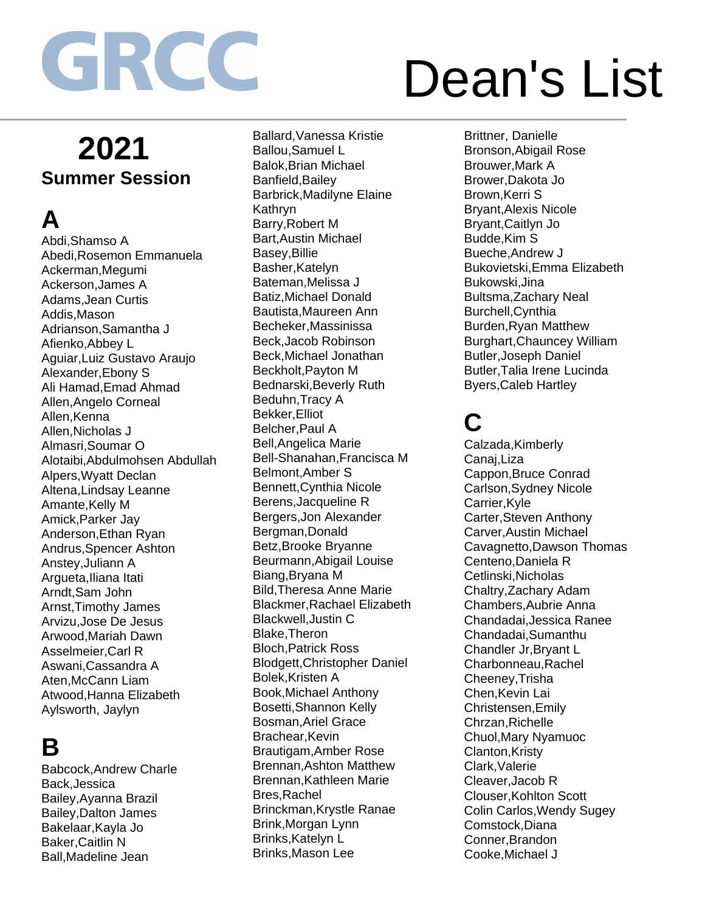# Dean's List

### **2021 Summer Session**

### **A**

Abdi,Shamso A Abedi,Rosemon Emmanuela Ackerman,Megumi Ackerson,James A Adams,Jean Curtis Addis,Mason Adrianson,Samantha J Afienko,Abbey L Aguiar,Luiz Gustavo Araujo Alexander,Ebony S Ali Hamad,Emad Ahmad Allen,Angelo Corneal Allen, Kenna Allen,Nicholas J Almasri,Soumar O Alotaibi,Abdulmohsen Abdullah Alpers,Wyatt Declan Altena,Lindsay Leanne Amante,Kelly M Amick,Parker Jay Anderson,Ethan Ryan Andrus,Spencer Ashton Anstey,Juliann A Argueta,Iliana Itati Arndt,Sam John Arnst,Timothy James Arvizu,Jose De Jesus Arwood,Mariah Dawn Asselmeier,Carl R Aswani,Cassandra A Aten,McCann Liam Atwood,Hanna Elizabeth Aylsworth, Jaylyn

#### **B**

Babcock,Andrew Charle Back,Jessica Bailey,Ayanna Brazil Bailey,Dalton James Bakelaar,Kayla Jo Baker,Caitlin N Ball,Madeline Jean

Ballard,Vanessa Kristie Ballou,Samuel L Balok,Brian Michael Banfield,Bailey Barbrick,Madilyne Elaine Kathryn Barry,Robert M Bart,Austin Michael Basey,Billie Basher,Katelyn Bateman,Melissa J Batiz,Michael Donald Bautista,Maureen Ann Becheker,Massinissa Beck,Jacob Robinson Beck,Michael Jonathan Beckholt,Payton M Bednarski,Beverly Ruth Beduhn,Tracy A Bekker,Elliot Belcher,Paul A Bell,Angelica Marie Bell-Shanahan,Francisca M Belmont,Amber S Bennett,Cynthia Nicole Berens,Jacqueline R Bergers,Jon Alexander Bergman,Donald Betz,Brooke Bryanne Beurmann,Abigail Louise Biang,Bryana M Bild,Theresa Anne Marie Blackmer,Rachael Elizabeth Blackwell,Justin C Blake,Theron Bloch,Patrick Ross Blodgett,Christopher Daniel Bolek,Kristen A Book,Michael Anthony Bosetti,Shannon Kelly Bosman,Ariel Grace Brachear,Kevin Brautigam,Amber Rose Brennan,Ashton Matthew Brennan,Kathleen Marie Bres,Rachel Brinckman,Krystle Ranae Brink,Morgan Lynn Brinks,Katelyn L Brinks,Mason Lee

Brittner, Danielle Bronson,Abigail Rose Brouwer,Mark A Brower,Dakota Jo Brown,Kerri S Bryant,Alexis Nicole Bryant,Caitlyn Jo Budde,Kim S Bueche,Andrew J Bukovietski,Emma Elizabeth Bukowski,Jina Bultsma,Zachary Neal Burchell,Cynthia Burden,Ryan Matthew Burghart,Chauncey William Butler,Joseph Daniel Butler,Talia Irene Lucinda Byers,Caleb Hartley

### **C**

Calzada,Kimberly Canaj,Liza Cappon,Bruce Conrad Carlson,Sydney Nicole Carrier,Kyle Carter,Steven Anthony Carver,Austin Michael Cavagnetto,Dawson Thomas Centeno,Daniela R Cetlinski,Nicholas Chaltry,Zachary Adam Chambers,Aubrie Anna Chandadai,Jessica Ranee Chandadai,Sumanthu Chandler Jr,Bryant L Charbonneau,Rachel Cheeney,Trisha Chen,Kevin Lai Christensen,Emily Chrzan,Richelle Chuol,Mary Nyamuoc Clanton,Kristy Clark,Valerie Cleaver,Jacob R Clouser,Kohlton Scott Colin Carlos,Wendy Sugey Comstock,Diana Conner,Brandon Cooke,Michael J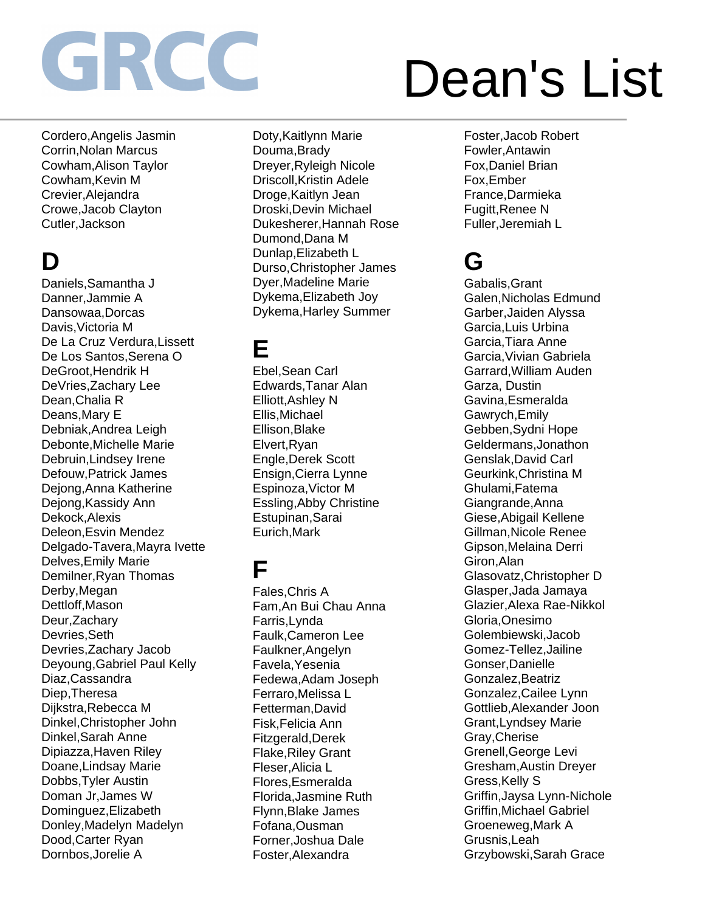Cordero,Angelis Jasmin Corrin,Nolan Marcus Cowham,Alison Taylor Cowham,Kevin M Crevier,Alejandra Crowe,Jacob Clayton Cutler,Jackson

## **D**

Daniels,Samantha J Danner,Jammie A Dansowaa,Dorcas Davis,Victoria M De La Cruz Verdura,Lissett De Los Santos,Serena O DeGroot,Hendrik H DeVries,Zachary Lee Dean,Chalia R Deans,Mary E Debniak,Andrea Leigh Debonte,Michelle Marie Debruin,Lindsey Irene Defouw,Patrick James Dejong,Anna Katherine Dejong,Kassidy Ann Dekock,Alexis Deleon,Esvin Mendez Delgado-Tavera,Mayra Ivette Delves,Emily Marie Demilner,Ryan Thomas Derby,Megan Dettloff,Mason Deur,Zachary Devries,Seth Devries,Zachary Jacob Deyoung,Gabriel Paul Kelly Diaz,Cassandra Diep,Theresa Dijkstra,Rebecca M Dinkel,Christopher John Dinkel,Sarah Anne Dipiazza,Haven Riley Doane,Lindsay Marie Dobbs,Tyler Austin Doman Jr,James W Dominguez,Elizabeth Donley,Madelyn Madelyn Dood,Carter Ryan Dornbos,Jorelie A

Doty,Kaitlynn Marie Douma,Brady Dreyer,Ryleigh Nicole Driscoll,Kristin Adele Droge,Kaitlyn Jean Droski,Devin Michael Dukesherer,Hannah Rose Dumond,Dana M Dunlap,Elizabeth L Durso,Christopher James Dyer,Madeline Marie Dykema,Elizabeth Joy Dykema,Harley Summer

#### **E**

Ebel,Sean Carl Edwards,Tanar Alan Elliott,Ashley N Ellis,Michael Ellison,Blake Elvert,Ryan Engle,Derek Scott Ensign,Cierra Lynne Espinoza,Victor M Essling,Abby Christine Estupinan,Sarai Eurich,Mark

#### **F**

Fales,Chris A Fam,An Bui Chau Anna Farris,Lynda Faulk,Cameron Lee Faulkner,Angelyn Favela,Yesenia Fedewa,Adam Joseph Ferraro,Melissa L Fetterman,David Fisk,Felicia Ann Fitzgerald,Derek Flake,Riley Grant Fleser,Alicia L Flores,Esmeralda Florida,Jasmine Ruth Flynn,Blake James Fofana,Ousman Forner,Joshua Dale Foster,Alexandra

## Dean's List

Foster,Jacob Robert Fowler,Antawin Fox,Daniel Brian Fox,Ember France,Darmieka Fugitt,Renee N Fuller,Jeremiah L

### **G**

Gabalis,Grant Galen,Nicholas Edmund Garber,Jaiden Alyssa Garcia,Luis Urbina Garcia,Tiara Anne Garcia,Vivian Gabriela Garrard,William Auden Garza, Dustin Gavina,Esmeralda Gawrych,Emily Gebben,Sydni Hope Geldermans,Jonathon Genslak,David Carl Geurkink,Christina M Ghulami,Fatema Giangrande,Anna Giese,Abigail Kellene Gillman,Nicole Renee Gipson,Melaina Derri Giron,Alan Glasovatz,Christopher D Glasper,Jada Jamaya Glazier,Alexa Rae-Nikkol Gloria,Onesimo Golembiewski,Jacob Gomez-Tellez,Jailine Gonser,Danielle Gonzalez,Beatriz Gonzalez,Cailee Lynn Gottlieb,Alexander Joon Grant,Lyndsey Marie Gray,Cherise Grenell,George Levi Gresham,Austin Dreyer Gress,Kelly S Griffin,Jaysa Lynn-Nichole Griffin,Michael Gabriel Groeneweg,Mark A Grusnis,Leah Grzybowski,Sarah Grace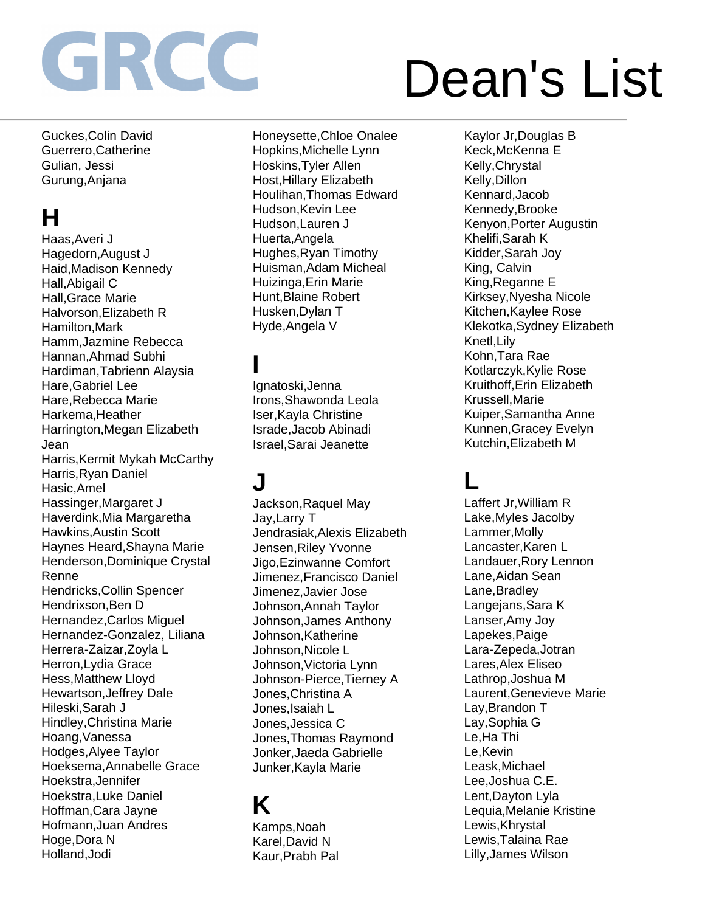# Dean's List

Guckes,Colin David Guerrero,Catherine Gulian, Jessi Gurung,Anjana

### **H**

Haas,Averi J Hagedorn,August J Haid,Madison Kennedy Hall,Abigail C Hall,Grace Marie Halvorson,Elizabeth R Hamilton,Mark Hamm,Jazmine Rebecca Hannan,Ahmad Subhi Hardiman,Tabrienn Alaysia Hare,Gabriel Lee Hare,Rebecca Marie Harkema,Heather Harrington,Megan Elizabeth Jean Harris,Kermit Mykah McCarthy Harris,Ryan Daniel Hasic,Amel Hassinger,Margaret J Haverdink,Mia Margaretha Hawkins,Austin Scott Haynes Heard,Shayna Marie Henderson,Dominique Crystal Renne Hendricks,Collin Spencer Hendrixson,Ben D Hernandez,Carlos Miguel Hernandez-Gonzalez, Liliana Herrera-Zaizar,Zoyla L Herron,Lydia Grace Hess,Matthew Lloyd Hewartson,Jeffrey Dale Hileski,Sarah J Hindley,Christina Marie Hoang,Vanessa Hodges,Alyee Taylor Hoeksema,Annabelle Grace Hoekstra,Jennifer Hoekstra,Luke Daniel Hoffman,Cara Jayne Hofmann,Juan Andres Hoge,Dora N Holland,Jodi

Honeysette,Chloe Onalee Hopkins,Michelle Lynn Hoskins,Tyler Allen Host,Hillary Elizabeth Houlihan,Thomas Edward Hudson,Kevin Lee Hudson,Lauren J Huerta,Angela Hughes,Ryan Timothy Huisman,Adam Micheal Huizinga,Erin Marie Hunt,Blaine Robert Husken,Dylan T Hyde,Angela V

### **I**

Ignatoski,Jenna Irons,Shawonda Leola Iser,Kayla Christine Israde,Jacob Abinadi Israel,Sarai Jeanette

## **J**

Jackson,Raquel May Jay,Larry T Jendrasiak,Alexis Elizabeth Jensen,Riley Yvonne Jigo,Ezinwanne Comfort Jimenez,Francisco Daniel Jimenez,Javier Jose Johnson,Annah Taylor Johnson,James Anthony Johnson,Katherine Johnson,Nicole L Johnson,Victoria Lynn Johnson-Pierce,Tierney A Jones,Christina A Jones,Isaiah L Jones,Jessica C Jones,Thomas Raymond Jonker,Jaeda Gabrielle Junker,Kayla Marie

### **K**

Kamps,Noah Karel,David N Kaur,Prabh Pal

Kaylor Jr,Douglas B Keck,McKenna E Kelly,Chrystal Kelly,Dillon Kennard,Jacob Kennedy,Brooke Kenyon,Porter Augustin Khelifi,Sarah K Kidder,Sarah Joy King, Calvin King,Reganne E Kirksey,Nyesha Nicole Kitchen,Kaylee Rose Klekotka,Sydney Elizabeth Knetl,Lily Kohn,Tara Rae Kotlarczyk,Kylie Rose Kruithoff,Erin Elizabeth Krussell,Marie Kuiper,Samantha Anne Kunnen,Gracey Evelyn Kutchin,Elizabeth M

### **L**

Laffert Jr,William R Lake,Myles Jacolby Lammer,Molly Lancaster,Karen L Landauer,Rory Lennon Lane,Aidan Sean Lane,Bradley Langejans,Sara K Lanser,Amy Joy Lapekes,Paige Lara-Zepeda,Jotran Lares,Alex Eliseo Lathrop,Joshua M Laurent,Genevieve Marie Lay,Brandon T Lay,Sophia G Le,Ha Thi Le,Kevin Leask,Michael Lee,Joshua C.E. Lent,Dayton Lyla Lequia,Melanie Kristine Lewis,Khrystal Lewis,Talaina Rae Lilly,James Wilson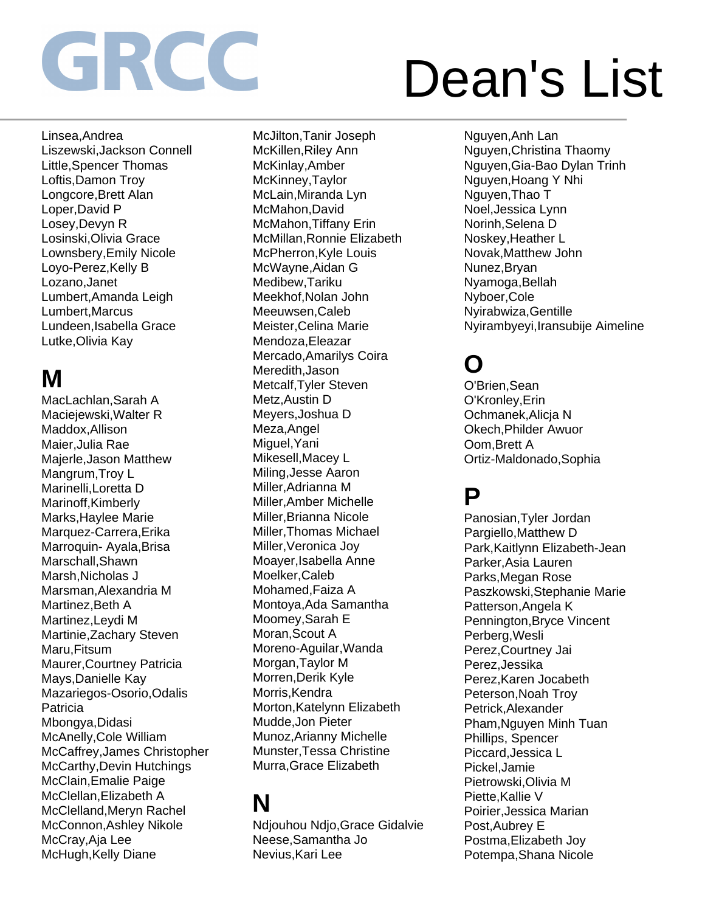# Dean's List

Linsea,Andrea Liszewski,Jackson Connell Little,Spencer Thomas Loftis,Damon Troy Longcore,Brett Alan Loper,David P Losey,Devyn R Losinski,Olivia Grace Lownsbery,Emily Nicole Loyo-Perez,Kelly B Lozano,Janet Lumbert,Amanda Leigh Lumbert,Marcus Lundeen,Isabella Grace Lutke,Olivia Kay

### **M**

MacLachlan,Sarah A Maciejewski,Walter R Maddox,Allison Maier,Julia Rae Majerle,Jason Matthew Mangrum,Troy L Marinelli,Loretta D Marinoff,Kimberly Marks,Haylee Marie Marquez-Carrera,Erika Marroquin- Ayala,Brisa Marschall,Shawn Marsh,Nicholas J Marsman,Alexandria M Martinez,Beth A Martinez,Leydi M Martinie,Zachary Steven Maru,Fitsum Maurer,Courtney Patricia Mays,Danielle Kay Mazariegos-Osorio,Odalis **Patricia** Mbongya,Didasi McAnelly,Cole William McCaffrey,James Christopher McCarthy,Devin Hutchings McClain,Emalie Paige McClellan,Elizabeth A McClelland,Meryn Rachel McConnon,Ashley Nikole McCray,Aja Lee McHugh, Kelly Diane

McJilton,Tanir Joseph McKillen,Riley Ann McKinlay,Amber McKinney,Taylor McLain,Miranda Lyn McMahon,David McMahon,Tiffany Erin McMillan,Ronnie Elizabeth McPherron,Kyle Louis McWayne,Aidan G Medibew,Tariku Meekhof,Nolan John Meeuwsen,Caleb Meister,Celina Marie Mendoza,Eleazar Mercado,Amarilys Coira Meredith,Jason Metcalf,Tyler Steven Metz,Austin D Meyers,Joshua D Meza,Angel Miguel,Yani Mikesell,Macey L Miling,Jesse Aaron Miller,Adrianna M Miller,Amber Michelle Miller,Brianna Nicole Miller,Thomas Michael Miller,Veronica Joy Moayer,Isabella Anne Moelker,Caleb Mohamed,Faiza A Montoya,Ada Samantha Moomey,Sarah E Moran,Scout A Moreno-Aguilar,Wanda Morgan,Taylor M Morren,Derik Kyle Morris, Kendra Morton,Katelynn Elizabeth Mudde,Jon Pieter Munoz,Arianny Michelle Munster,Tessa Christine Murra,Grace Elizabeth

## **N**

Ndjouhou Ndjo,Grace Gidalvie Neese,Samantha Jo Nevius,Kari Lee

Nguyen,Anh Lan Nguyen,Christina Thaomy Nguyen,Gia-Bao Dylan Trinh Nguyen,Hoang Y Nhi Nguyen,Thao T Noel,Jessica Lynn Norinh,Selena D Noskey,Heather L Novak,Matthew John Nunez,Bryan Nyamoga,Bellah Nyboer,Cole Nyirabwiza,Gentille Nyirambyeyi,Iransubije Aimeline

## **O**

O'Brien,Sean O'Kronley,Erin Ochmanek,Alicja N Okech,Philder Awuor Oom,Brett A Ortiz-Maldonado,Sophia

### **P**

Panosian,Tyler Jordan Pargiello,Matthew D Park,Kaitlynn Elizabeth-Jean Parker,Asia Lauren Parks,Megan Rose Paszkowski,Stephanie Marie Patterson,Angela K Pennington,Bryce Vincent Perberg,Wesli Perez,Courtney Jai Perez,Jessika Perez,Karen Jocabeth Peterson,Noah Troy Petrick,Alexander Pham,Nguyen Minh Tuan Phillips, Spencer Piccard,Jessica L Pickel,Jamie Pietrowski,Olivia M Piette, Kallie V Poirier,Jessica Marian Post,Aubrey E Postma,Elizabeth Joy Potempa,Shana Nicole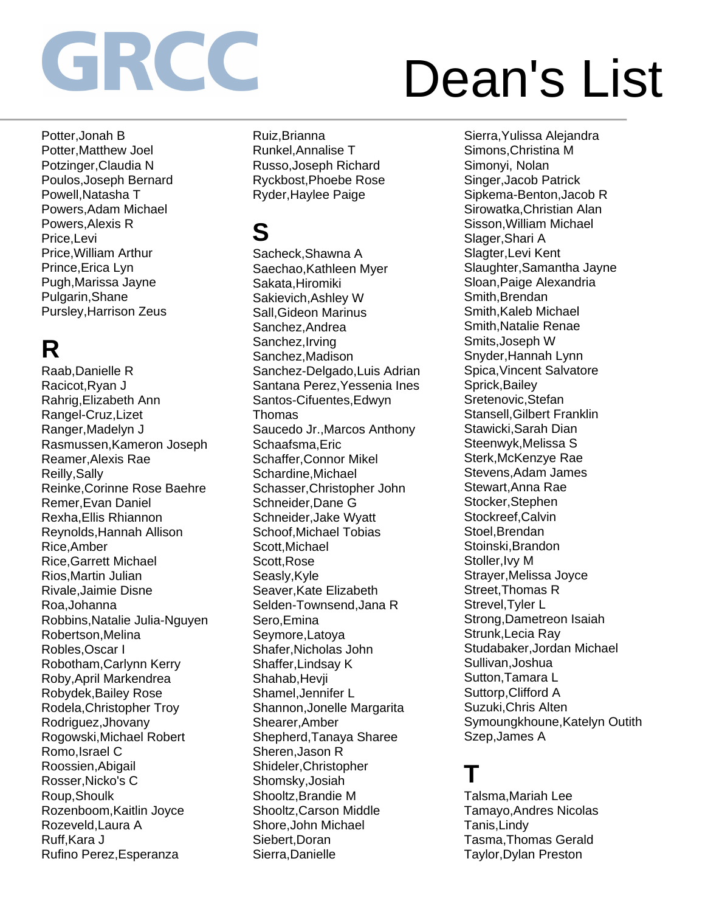# Dean's List

Potter,Jonah B Potter,Matthew Joel Potzinger,Claudia N Poulos,Joseph Bernard Powell,Natasha T Powers,Adam Michael Powers,Alexis R Price,Levi Price,William Arthur Prince,Erica Lyn Pugh,Marissa Jayne Pulgarin,Shane Pursley,Harrison Zeus

## **R**

Raab,Danielle R Racicot,Ryan J Rahrig,Elizabeth Ann Rangel-Cruz,Lizet Ranger,Madelyn J Rasmussen,Kameron Joseph Reamer,Alexis Rae Reilly,Sally Reinke,Corinne Rose Baehre Remer,Evan Daniel Rexha,Ellis Rhiannon Reynolds,Hannah Allison Rice,Amber Rice,Garrett Michael Rios,Martin Julian Rivale,Jaimie Disne Roa,Johanna Robbins,Natalie Julia-Nguyen Robertson,Melina Robles,Oscar I Robotham,Carlynn Kerry Roby,April Markendrea Robydek,Bailey Rose Rodela,Christopher Troy Rodriguez,Jhovany Rogowski,Michael Robert Romo,Israel C Roossien,Abigail Rosser,Nicko's C Roup,Shoulk Rozenboom,Kaitlin Joyce Rozeveld,Laura A Ruff,Kara J Rufino Perez,Esperanza

Ruiz,Brianna Runkel,Annalise T Russo,Joseph Richard Ryckbost,Phoebe Rose Ryder,Haylee Paige

### **S**

Sacheck,Shawna A Saechao,Kathleen Myer Sakata,Hiromiki Sakievich,Ashley W Sall,Gideon Marinus Sanchez,Andrea Sanchez,Irving Sanchez,Madison Sanchez-Delgado,Luis Adrian Santana Perez,Yessenia Ines Santos-Cifuentes,Edwyn Thomas Saucedo Jr.,Marcos Anthony Schaafsma,Eric Schaffer,Connor Mikel Schardine,Michael Schasser,Christopher John Schneider,Dane G Schneider,Jake Wyatt Schoof,Michael Tobias Scott,Michael Scott,Rose Seasly,Kyle Seaver,Kate Elizabeth Selden-Townsend,Jana R Sero,Emina Seymore,Latoya Shafer,Nicholas John Shaffer,Lindsay K Shahab,Hevji Shamel,Jennifer L Shannon,Jonelle Margarita Shearer,Amber Shepherd,Tanaya Sharee Sheren,Jason R Shideler,Christopher Shomsky,Josiah Shooltz,Brandie M Shooltz,Carson Middle Shore,John Michael Siebert,Doran Sierra,Danielle

Sierra,Yulissa Alejandra Simons,Christina M Simonyi, Nolan Singer,Jacob Patrick Sipkema-Benton,Jacob R Sirowatka,Christian Alan Sisson,William Michael Slager,Shari A Slagter,Levi Kent Slaughter,Samantha Jayne Sloan,Paige Alexandria Smith,Brendan Smith,Kaleb Michael Smith,Natalie Renae Smits,Joseph W Snyder,Hannah Lynn Spica,Vincent Salvatore Sprick,Bailey Sretenovic,Stefan Stansell,Gilbert Franklin Stawicki,Sarah Dian Steenwyk,Melissa S Sterk,McKenzye Rae Stevens,Adam James Stewart,Anna Rae Stocker,Stephen Stockreef.Calvin Stoel,Brendan Stoinski,Brandon Stoller, Ivy M Strayer,Melissa Joyce Street,Thomas R Strevel,Tyler L Strong,Dametreon Isaiah Strunk,Lecia Ray Studabaker,Jordan Michael Sullivan,Joshua Sutton,Tamara L Suttorp,Clifford A Suzuki,Chris Alten Symoungkhoune,Katelyn Outith Szep,James A

### **T**

Talsma,Mariah Lee Tamayo,Andres Nicolas Tanis,Lindy Tasma,Thomas Gerald Taylor,Dylan Preston